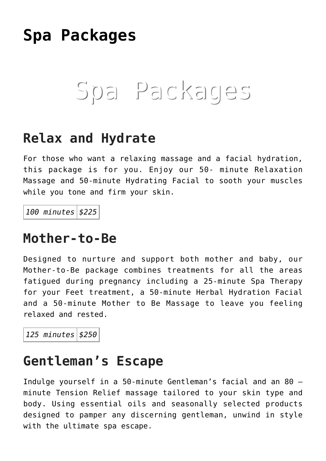# **[Spa Packages](https://thegreenhousedayspa.com/spa-packages/)**

# Spa Packages

#### **Relax and Hydrate**

For those who want a relaxing massage and a facial hydration, this package is for you. Enjoy our 50- minute Relaxation Massage and 50-minute Hydrating Facial to sooth your muscles while you tone and firm your skin.

*100 minutes \$225*

#### **Mother-to-Be**

Designed to nurture and support both mother and baby, our Mother-to-Be package combines treatments for all the areas fatigued during pregnancy including a 25-minute Spa Therapy for your Feet treatment, a 50-minute Herbal Hydration Facial and a 50-minute Mother to Be Massage to leave you feeling relaxed and rested.

*125 minutes \$250*

#### **Gentleman's Escape**

Indulge yourself in a 50-minute Gentleman's facial and an 80 – minute Tension Relief massage tailored to your skin type and body. Using essential oils and seasonally selected products designed to pamper any discerning gentleman, unwind in style with the ultimate spa escape.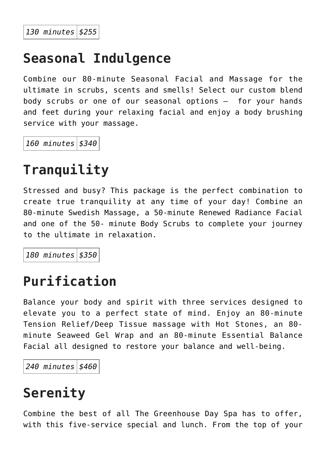#### **Seasonal Indulgence**

Combine our 80-minute Seasonal Facial and Massage for the ultimate in scrubs, scents and smells! Select our custom blend body scrubs or one of our seasonal options – for your hands and feet during your relaxing facial and enjoy a body brushing service with your massage.

*160 minutes \$340*

### **Tranquility**

Stressed and busy? This package is the perfect combination to create true tranquility at any time of your day! Combine an 80-minute Swedish Massage, a 50-minute Renewed Radiance Facial and one of the 50- minute Body Scrubs to complete your journey to the ultimate in relaxation.

*180 minutes \$350*

#### **Purification**

Balance your body and spirit with three services designed to elevate you to a perfect state of mind. Enjoy an 80-minute Tension Relief/Deep Tissue massage with Hot Stones, an 80 minute Seaweed Gel Wrap and an 80-minute Essential Balance Facial all designed to restore your balance and well-being.

*240 minutes \$460*

## **Serenity**

Combine the best of all The Greenhouse Day Spa has to offer, with this five-service special and lunch. From the top of your